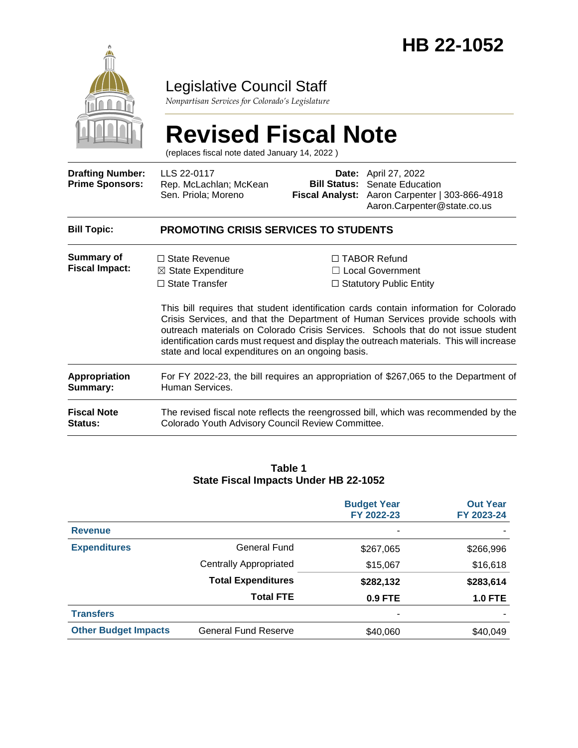

# Legislative Council Staff

*Nonpartisan Services for Colorado's Legislature*

# **Revised Fiscal Note**

(replaces fiscal note dated January 14, 2022 )

| <b>Drafting Number:</b><br><b>Prime Sponsors:</b> | LLS 22-0117<br>Rep. McLachlan; McKean<br>Sen. Priola; Moreno                                                                             |  | <b>Date:</b> April 27, 2022<br><b>Bill Status:</b> Senate Education<br>Fiscal Analyst: Aaron Carpenter   303-866-4918<br>Aaron.Carpenter@state.co.us                                                                                                                                                                                                                                                                                          |  |
|---------------------------------------------------|------------------------------------------------------------------------------------------------------------------------------------------|--|-----------------------------------------------------------------------------------------------------------------------------------------------------------------------------------------------------------------------------------------------------------------------------------------------------------------------------------------------------------------------------------------------------------------------------------------------|--|
| <b>Bill Topic:</b>                                | <b>PROMOTING CRISIS SERVICES TO STUDENTS</b>                                                                                             |  |                                                                                                                                                                                                                                                                                                                                                                                                                                               |  |
| <b>Summary of</b><br><b>Fiscal Impact:</b>        | $\Box$ State Revenue<br>$\boxtimes$ State Expenditure<br>$\Box$ State Transfer<br>state and local expenditures on an ongoing basis.      |  | $\Box$ TABOR Refund<br>$\Box$ Local Government<br>$\Box$ Statutory Public Entity<br>This bill requires that student identification cards contain information for Colorado<br>Crisis Services, and that the Department of Human Services provide schools with<br>outreach materials on Colorado Crisis Services. Schools that do not issue student<br>identification cards must request and display the outreach materials. This will increase |  |
| <b>Appropriation</b><br>Summary:                  | For FY 2022-23, the bill requires an appropriation of \$267,065 to the Department of<br>Human Services.                                  |  |                                                                                                                                                                                                                                                                                                                                                                                                                                               |  |
| <b>Fiscal Note</b><br><b>Status:</b>              | The revised fiscal note reflects the reengrossed bill, which was recommended by the<br>Colorado Youth Advisory Council Review Committee. |  |                                                                                                                                                                                                                                                                                                                                                                                                                                               |  |

#### **Table 1 State Fiscal Impacts Under HB 22-1052**

|                             |                               | <b>Budget Year</b><br>FY 2022-23 | <b>Out Year</b><br>FY 2023-24 |
|-----------------------------|-------------------------------|----------------------------------|-------------------------------|
| <b>Revenue</b>              |                               |                                  |                               |
| <b>Expenditures</b>         | General Fund                  | \$267,065                        | \$266,996                     |
|                             | <b>Centrally Appropriated</b> | \$15,067                         | \$16,618                      |
|                             | <b>Total Expenditures</b>     | \$282,132                        | \$283,614                     |
|                             | <b>Total FTE</b>              | $0.9$ FTE                        | <b>1.0 FTE</b>                |
| <b>Transfers</b>            |                               |                                  |                               |
| <b>Other Budget Impacts</b> | <b>General Fund Reserve</b>   | \$40,060                         | \$40,049                      |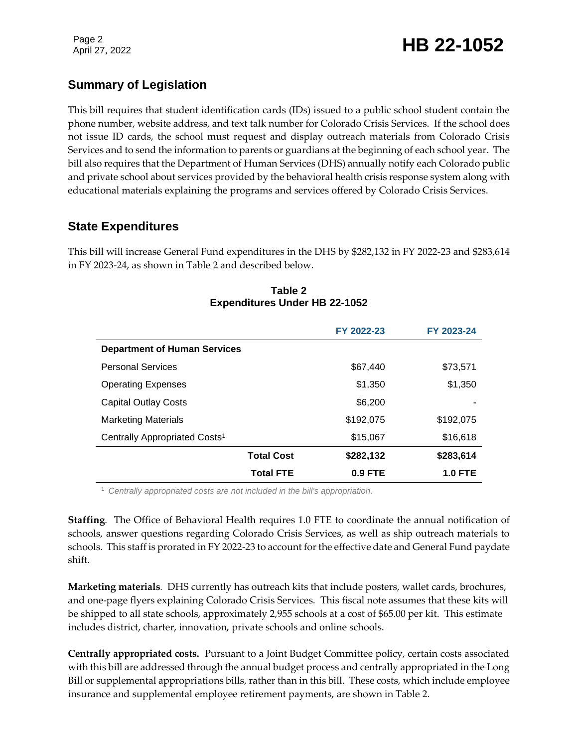# Page 2<br>April 27, 2022 **HB 22-1052**

# **Summary of Legislation**

This bill requires that student identification cards (IDs) issued to a public school student contain the phone number, website address, and text talk number for Colorado Crisis Services. If the school does not issue ID cards, the school must request and display outreach materials from Colorado Crisis Services and to send the information to parents or guardians at the beginning of each school year. The bill also requires that the Department of Human Services (DHS) annually notify each Colorado public and private school about services provided by the behavioral health crisis response system along with educational materials explaining the programs and services offered by Colorado Crisis Services.

#### **State Expenditures**

This bill will increase General Fund expenditures in the DHS by \$282,132 in FY 2022-23 and \$283,614 in FY 2023-24, as shown in Table 2 and described below.

|                                           | FY 2022-23 | FY 2023-24     |
|-------------------------------------------|------------|----------------|
| <b>Department of Human Services</b>       |            |                |
| <b>Personal Services</b>                  | \$67,440   | \$73,571       |
| <b>Operating Expenses</b>                 | \$1,350    | \$1,350        |
| <b>Capital Outlay Costs</b>               | \$6,200    |                |
| <b>Marketing Materials</b>                | \$192,075  | \$192,075      |
| Centrally Appropriated Costs <sup>1</sup> | \$15,067   | \$16,618       |
| <b>Total Cost</b>                         | \$282,132  | \$283,614      |
| <b>Total FTE</b>                          | $0.9$ FTE  | <b>1.0 FTE</b> |

#### **Table 2 Expenditures Under HB 22-1052**

<sup>1</sup> *Centrally appropriated costs are not included in the bill's appropriation.*

**Staffing***.* The Office of Behavioral Health requires 1.0 FTE to coordinate the annual notification of schools, answer questions regarding Colorado Crisis Services, as well as ship outreach materials to schools. This staff is prorated in FY 2022-23 to account for the effective date and General Fund paydate shift.

**Marketing materials***.* DHS currently has outreach kits that include posters, wallet cards, brochures, and one-page flyers explaining Colorado Crisis Services. This fiscal note assumes that these kits will be shipped to all state schools, approximately 2,955 schools at a cost of \$65.00 per kit. This estimate includes district, charter, innovation, private schools and online schools.

**Centrally appropriated costs.** Pursuant to a Joint Budget Committee policy, certain costs associated with this bill are addressed through the annual budget process and centrally appropriated in the Long Bill or supplemental appropriations bills, rather than in this bill. These costs, which include employee insurance and supplemental employee retirement payments, are shown in Table 2.